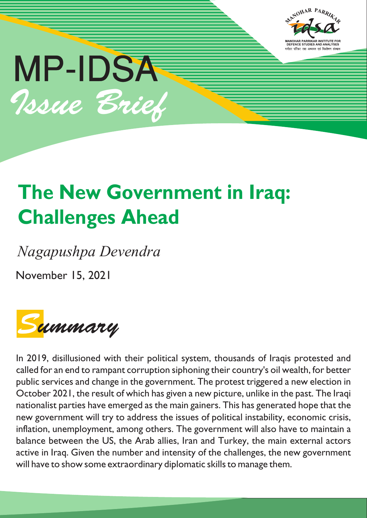



# **The New Government in Iraq: Challenges Ahead**

*Nagapushpa Devendra*

November 15, 2021



In 2019, disillusioned with their political system, thousands of Iraqis protested and called for an end to rampant corruption siphoning their country's oil wealth, for better public services and change in the government. The protest triggered a new election in October 2021, the result of which has given a new picture, unlike in the past. The Iraqi nationalist parties have emerged as the main gainers. This has generated hope that the new government will try to address the issues of political instability, economic crisis, inflation, unemployment, among others. The government will also have to maintain a balance between the US, the Arab allies, Iran and Turkey, the main external actors active in Iraq. Given the number and intensity of the challenges, the new government will have to show some extraordinary diplomatic skills to manage them.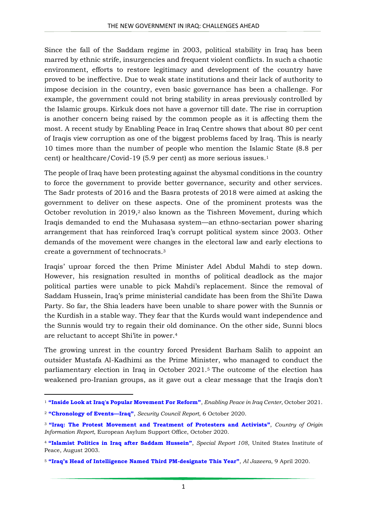Since the fall of the Saddam regime in 2003, political stability in Iraq has been marred by ethnic strife, insurgencies and frequent violent conflicts. In such a chaotic environment, efforts to restore legitimacy and development of the country have proved to be ineffective. Due to weak state institutions and their lack of authority to impose decision in the country, even basic governance has been a challenge. For example, the government could not bring stability in areas previously controlled by the Islamic groups. Kirkuk does not have a governor till date. The rise in corruption is another concern being raised by the common people as it is affecting them the most. A recent study by Enabling Peace in Iraq Centre shows that about 80 per cent of Iraqis view corruption as one of the biggest problems faced by Iraq. This is nearly 10 times more than the number of people who mention the Islamic State (8.8 per cent) or healthcare/Covid-19 (5.9 per cent) as more serious issues.<sup>1</sup>

The people of Iraq have been protesting against the abysmal conditions in the country to force the government to provide better governance, security and other services. The Sadr protests of 2016 and the Basra protests of 2018 were aimed at asking the government to deliver on these aspects. One of the prominent protests was the October revolution in 2019,<sup>2</sup> also known as the Tishreen Movement, during which Iraqis demanded to end the Muhasasa system—an ethno-sectarian power sharing arrangement that has reinforced Iraq's corrupt political system since 2003. Other demands of the movement were changes in the electoral law and early elections to create a government of technocrats.<sup>3</sup>

Iraqis' uproar forced the then Prime Minister Adel Abdul Mahdi to step down. However, his resignation resulted in months of political deadlock as the major political parties were unable to pick Mahdi's replacement. Since the removal of Saddam Hussein, Iraq's prime ministerial candidate has been from the Shi'ite Dawa Party. So far, the Shia leaders have been unable to share power with the Sunnis or the Kurdish in a stable way. They fear that the Kurds would want independence and the Sunnis would try to regain their old dominance. On the other side, Sunni blocs are reluctant to accept Shi'ite in power.<sup>4</sup>

The growing unrest in the country forced President Barham Salih to appoint an outsider Mustafa Al-Kadhimi as the Prime Minister, who managed to conduct the parliamentary election in Iraq in October 2021.<sup>5</sup> The outcome of the election has weakened pro-Iranian groups, as it gave out a clear message that the Iraqis don't

**.** 

<sup>1</sup> **["Inside Look at Iraq's Popular Movement For Reform"](https://enablingpeace.org/what-we-do/projects-in-iraq/tishreen/)**, *Enabling Peace in Iraq Center*, October 2021.

<sup>2</sup> **["Chronology of Events—](https://www.securitycouncilreport.org/chronology/iraq.php)Iraq"**, *Security Council Report*, 6 October 2020.

<sup>3</sup> **["Iraq: The Protest Movement and Treatment of Protesters and Activists"](https://www.justice.gov/eoir/page/file/1327706/download)**, *Country of Origin Information Report*, European Asylum Support Office, October 2020.

<sup>4</sup> **"Islamist Politics in [Iraq after Saddam Hussein](https://www.usip.org/sites/default/files/sr108.pdf)"**, *Special Report 108*, United States Institute of Peace, August 2003.

<sup>5</sup> **["Iraq's Head of Intelligence Named Third](https://www.aljazeera.com/news/2020/4/9/iraqs-head-of-intelligence-named-third-pm-designate-this-year) PM-designate This Year"**, *Al Jazeera*, 9 April 2020.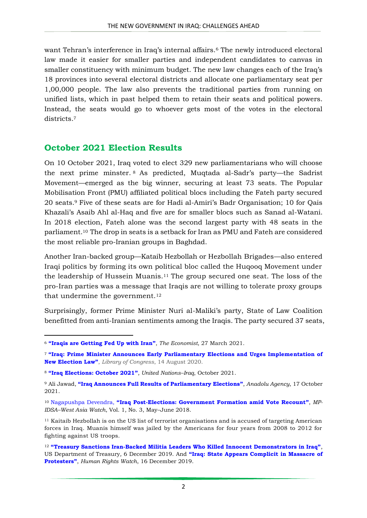want Tehran's interference in Iraq's internal affairs.<sup>6</sup> The newly introduced electoral law made it easier for smaller parties and independent candidates to canvas in smaller constituency with minimum budget. The new law changes each of the Iraq's 18 provinces into several electoral districts and allocate one parliamentary seat per 1,00,000 people. The law also prevents the traditional parties from running on unified lists, which in past helped them to retain their seats and political powers. Instead, the seats would go to whoever gets most of the votes in the electoral districts.<sup>7</sup>

## **October 2021 Election Results**

On 10 October 2021, Iraq voted to elect 329 new parliamentarians who will choose the next prime minster. <sup>8</sup> As predicted, Muqtada al-Sadr's party—the Sadrist Movement—emerged as the big winner, securing at least 73 seats. The Popular Mobilisation Front (PMU) affiliated political blocs including the Fateh party secured 20 seats.<sup>9</sup> Five of these seats are for Hadi al-Amiri's Badr Organisation; 10 for Qais Khazali's Asaib Ahl al-Haq and five are for smaller blocs such as Sanad al-Watani. In 2018 election, Fateh alone was the second largest party with 48 seats in the parliament.<sup>10</sup> The drop in seats is a setback for Iran as PMU and Fateh are considered the most reliable pro-Iranian groups in Baghdad.

Another Iran-backed group—Kataib Hezbollah or Hezbollah Brigades—also entered Iraqi politics by forming its own political bloc called the Huqooq Movement under the leadership of Hussein Muanis.<sup>11</sup> The group secured one seat. The loss of the pro-Iran parties was a message that Iraqis are not willing to tolerate proxy groups that undermine the government.<sup>12</sup>

Surprisingly, former Prime Minister Nuri al-Maliki's party, State of Law Coalition benefitted from anti-Iranian sentiments among the Iraqis. The party secured 37 seats,

**.** 

<sup>6</sup> **"Iraqis are [Getting](https://www.economist.com/middle-east-and-africa/2021/03/25/iraqis-are-getting-fed-up-with-iran) Fed Up with Iran"**, *The Economist*, 27 March 2021.

<sup>7</sup> **["Iraq: Prime Minister Announces Early Parliamentary Elections and Urges Impleme](https://www.loc.gov/item/global-legal-monitor/2020-08-14/iraq-prime-minister-announces-early-parliamentary-elections-and-urges-implementation-of-new-election-law/)ntation of [New Election Law"](https://www.loc.gov/item/global-legal-monitor/2020-08-14/iraq-prime-minister-announces-early-parliamentary-elections-and-urges-implementation-of-new-election-law/)**, *Library of Congress*, 14 August 2020.

<sup>8</sup> **["Iraq Elections: October 2021"](https://iraq.un.org/en/133802-iraq-elections-october-2021)**, *United Nations–Iraq*, October 2021.

<sup>9</sup> Ali Jawad, **["Iraq Announces Full Results of Parliamentary Elections"](https://www.aa.com.tr/en/middle-east/iraq-announces-full-results-of-parliamentary-elections/2394814)**, *Anadolu Agency*, 17 October 2021.

<sup>10</sup> Nagapushpa Devendra, **"Iraq Post[-Elections: Government Formation amid Vote Recount](https://idsa.in/system/files/page/2015/waw-1-3.pdf)"**, *MP-IDSA–West Asia Watch*, Vol. 1, No. 3, May–June 2018.

<sup>11</sup> Kaitaib Hezbollah is on the US list of terrorist organisations and is accused of targeting American forces in Iraq. Muanis himself was jailed by the Americans for four years from 2008 to 2012 for fighting against US troops.

<sup>12</sup> **"Treasury Sanctions Iran-[Backed Militia Leaders Who Killed Innocent Demonstrators in Iraq"](https://home.treasury.gov/news/press-releases/sm847)**, US Department of Treasury*,* 6 December 2019. And **["Iraq: State Appears Complicit in Massacre of](https://www.hrw.org/news/2019/12/16/iraq-state-appears-complicit-massacre-protesters)  [Protesters](https://www.hrw.org/news/2019/12/16/iraq-state-appears-complicit-massacre-protesters)"**, *Human Rights Watch*, 16 December 2019.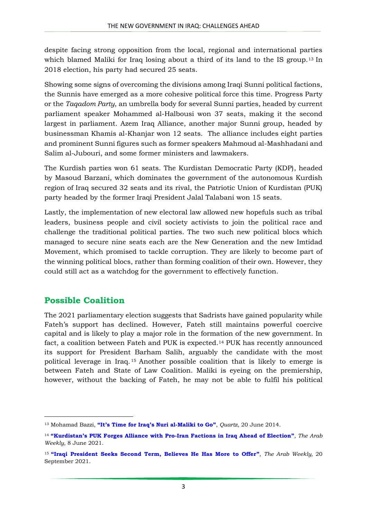despite facing strong opposition from the local, regional and international parties which blamed Maliki for Iraq losing about a third of its land to the IS group.<sup>13</sup> In 2018 election, his party had secured 25 seats.

Showing some signs of overcoming the divisions among Iraqi Sunni political factions, the Sunnis have emerged as a more cohesive political force this time. Progress Party or the *Taqadom Party*, an umbrella body for several Sunni parties, headed by current parliament speaker Mohammed al-Halbousi won 37 seats, making it the second largest in parliament. Azem Iraq Alliance, another major Sunni group, headed by businessman Khamis al-Khanjar won 12 seats. The alliance includes eight parties and prominent Sunni figures such as former speakers Mahmoud al-Mashhadani and Salim al-Jubouri, and some former ministers and lawmakers.

The Kurdish parties won 61 seats. The Kurdistan Democratic Party (KDP), headed by Masoud Barzani, which dominates the government of the autonomous Kurdish region of Iraq secured 32 seats and its rival, the Patriotic Union of Kurdistan (PUK) party headed by the former Iraqi President Jalal Talabani won 15 seats.

Lastly, the implementation of new electoral law allowed new hopefuls such as tribal leaders, business people and civil society activists to join the political race and challenge the traditional political parties. The two such new political blocs which managed to secure nine seats each are the New Generation and the new Imtidad Movement, which promised to tackle corruption. They are likely to become part of the winning political blocs, rather than forming coalition of their own. However, they could still act as a watchdog for the government to effectively function.

## **Possible Coalition**

**.** 

The 2021 parliamentary election suggests that Sadrists have gained popularity while Fateh's support has declined. However, Fateh still maintains powerful coercive capital and is likely to play a major role in the formation of the new government. In fact, a coalition between Fateh and PUK is expected.<sup>14</sup> PUK has recently announced its support for President Barham Salih, arguably the candidate with the most political leverage in Iraq. <sup>15</sup> Another possible coalition that is likely to emerge is between Fateh and State of Law Coalition. Maliki is eyeing on the premiership, however, without the backing of Fateh, he may not be able to fulfil his political

<sup>13</sup> Mohamad Bazzi, **["It's Time for Iraq's Nuri al](https://qz.com/223585/its-time-for-iraqs-nuri-al-maliki-to-go/)-Maliki to Go"**, *Quartz*, 20 June 2014.

<sup>14</sup> **["Kurdistan's PUK Forges Alliance with Pro](https://thearabweekly.com/kurdistans-puk-forges-alliance-pro-iran-factions-iraq-ahead-election)-Iran Factions in Iraq Ahead of Election"**, *The Arab Weekly*, 8 June 2021.

<sup>15</sup> **["Iraqi President Seeks Second Term, Believes He Has More to Offer"](https://thearabweekly.com/iraqi-president-seeks-second-term-believes-he-has-more-offer)**, *The Arab Weekly,* 20 September 2021.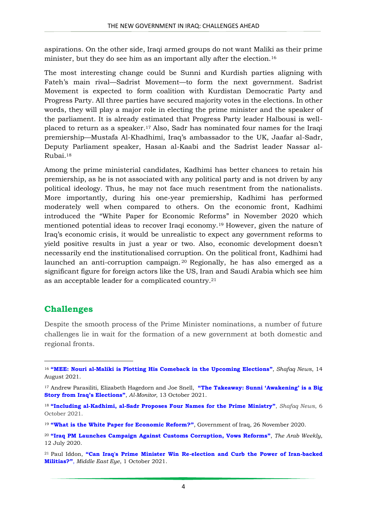aspirations. On the other side, Iraqi armed groups do not want Maliki as their prime minister, but they do see him as an important ally after the election.<sup>16</sup>

The most interesting change could be Sunni and Kurdish parties aligning with Fateh's main rival—Sadrist Movement—to form the next government. Sadrist Movement is expected to form coalition with Kurdistan Democratic Party and Progress Party. All three parties have secured majority votes in the elections. In other words, they will play a major role in electing the prime minister and the speaker of the parliament. It is already estimated that Progress Party leader Halbousi is wellplaced to return as a speaker.<sup>17</sup> Also, Sadr has nominated four names for the Iraqi premiership—Mustafa Al-Khadhimi, Iraq's ambassador to the UK, Jaafar al-Sadr, Deputy Parliament speaker, Hasan al-Kaabi and the Sadrist leader Nassar al-Rubai.<sup>18</sup>

Among the prime ministerial candidates, Kadhimi has better chances to retain his premiership, as he is not associated with any political party and is not driven by any political ideology. Thus, he may not face much resentment from the nationalists. More importantly, during his one-year premiership, Kadhimi has performed moderately well when compared to others. On the economic front, Kadhimi introduced the "White Paper for Economic Reforms" in November 2020 which mentioned potential ideas to recover Iraqi economy.<sup>19</sup> However, given the nature of Iraq's economic crisis, it would be unrealistic to expect any government reforms to yield positive results in just a year or two. Also, economic development doesn't necessarily end the institutionalised corruption. On the political front, Kadhimi had launched an anti-corruption campaign. <sup>20</sup> Regionally, he has also emerged as a significant figure for foreign actors like the US, Iran and Saudi Arabia which see him as an acceptable leader for a complicated country.<sup>21</sup>

## **Challenges**

**.** 

Despite the smooth process of the Prime Minister nominations, a number of future challenges lie in wait for the formation of a new government at both domestic and regional fronts.

<sup>16</sup> **"[MEE: Nouri al-Maliki is Plotting His Comeback in the Upcoming Elections](https://shafaq.com/ar/Report/MEE-Nouri-al-Maliki-is-plotting-his-comeback-in-the-upcoming-elections)"**, *Shafaq News*, 14 August 2021.

<sup>17</sup> Andrew Parasiliti, Elizabeth Hagedorn and Joe Snell, **["The Takeaway: Sunni 'Awakening' is a Big](https://www.al-monitor.com/originals/2021/10/takeaway-sunni-awakening-big-story-iraqs-elections#ixzz7AQCModuS)  [Story from Iraq's Elections"](https://www.al-monitor.com/originals/2021/10/takeaway-sunni-awakening-big-story-iraqs-elections#ixzz7AQCModuS)**, *Al-Monitor*, 13 October 2021.

<sup>18</sup> **"Including al[-Kadhimi, al-Sadr Proposes Four Names for the Prime Ministry](https://shafaq.com/ar/Iraq-News/Including-al-Kadhimi-al-Sadr-proposes-four-names-for-the-Prime-Ministry)"**, *Shafaq News*, 6 October 2021.

<sup>19</sup> **["What is the White Paper for Economic Reform?"](https://gds.gov.iq/what-is-the-white-paper-for-economic-reform/)**, Government of Iraq, 26 November 2020.

<sup>20</sup> **["Iraq PM Launches Campaign Against Customs Corruption, Vows Reforms"](https://thearabweekly.com/iraq-pm-launches-campaign-against-customs-corruption-vows-reforms)**, *The Arab Weekly*, 12 July 2020.

<sup>21</sup> Paul Iddon, **"Can [Iraq's Prime Minister Win Re-election and Curb the Power of Iran-backed](https://www.middleeasteye.net/news/iraq-election-mustafa-kadhimi-win-reelection-curb-iran-militias)  [Militias?"](https://www.middleeasteye.net/news/iraq-election-mustafa-kadhimi-win-reelection-curb-iran-militias)**, *Middle East Eye*, 1 October 2021.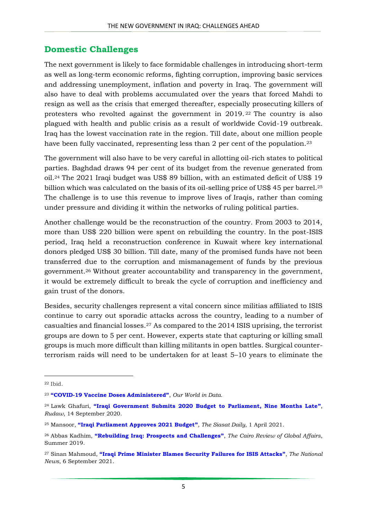#### **Domestic Challenges**

The next government is likely to face formidable challenges in introducing short-term as well as long-term economic reforms, fighting corruption, improving basic services and addressing unemployment, inflation and poverty in Iraq. The government will also have to deal with problems accumulated over the years that forced Mahdi to resign as well as the crisis that emerged thereafter, especially prosecuting killers of protesters who revolted against the government in 2019. <sup>22</sup> The country is also plagued with health and public crisis as a result of worldwide Covid-19 outbreak. Iraq has the lowest vaccination rate in the region. Till date, about one million people have been fully vaccinated, representing less than 2 per cent of the population.<sup>23</sup>

The government will also have to be very careful in allotting oil-rich states to political parties. Baghdad draws 94 per cent of its budget from the revenue generated from oil.<sup>24</sup> The 2021 Iraqi budget was US\$ 89 billion, with an estimated deficit of US\$ 19 billion which was calculated on the basis of its oil-selling price of US\$ 45 per barrel.<sup>25</sup> The challenge is to use this revenue to improve lives of Iraqis, rather than coming under pressure and dividing it within the networks of ruling political parties.

Another challenge would be the reconstruction of the country. From 2003 to 2014, more than US\$ 220 billion were spent on rebuilding the country. In the post-ISIS period, Iraq held a reconstruction conference in Kuwait where key international donors pledged US\$ 30 billion. Till date, many of the promised funds have not been transferred due to the corruption and mismanagement of funds by the previous government.<sup>26</sup> Without greater accountability and transparency in the government, it would be extremely difficult to break the cycle of corruption and inefficiency and gain trust of the donors.

Besides, security challenges represent a vital concern since militias affiliated to ISIS continue to carry out sporadic attacks across the country, leading to a number of casualties and financial losses.<sup>27</sup> As compared to the 2014 ISIS uprising, the terrorist groups are down to 5 per cent. However, experts state that capturing or killing small groups is much more difficult than killing militants in open battles. Surgical counterterrorism raids will need to be undertaken for at least 5–10 years to eliminate the

**.** 

<sup>22</sup> Ibid.

<sup>23</sup> **"COVID-[19 Vaccine Doses Administered"](https://ourworldindata.org/grapher/cumulative-covid-vaccinations)**, *Our World in Data.*

<sup>24</sup> Lawk Ghafuri, **["Iraqi Government Submits 2020 Budget to Parliament, Nine Months Late"](https://www.rudaw.net/english/middleeast/iraq/140920201)**, *Rudaw*, 14 September 2020.

<sup>25</sup> Mansoor, **["Iraqi Parliament Approves 2021 Budget"](https://www.siasat.com/iraqi-parliament-approves-2021-budget-2118523/)**, *The Siasat Daily*, 1 April 2021.

<sup>26</sup> Abbas Kadhim, **["Rebuilding Iraq: Prospects and Challenges"](https://www.thecairoreview.com/essays/rebuilding-iraq-prospects-and-challenges/)**, *The Cairo Review of Global Affairs*, Summer 2019.

<sup>27</sup> Sinan Mahmoud, **["Iraqi Prime Minister Blames Security Failures for ISIS Attacks"](https://www.thenationalnews.com/mena/iraq/2021/09/06/iraqi-prime-minister-blames-security-failures-for-isis-attacks/)**, *The National News*, 6 September 2021.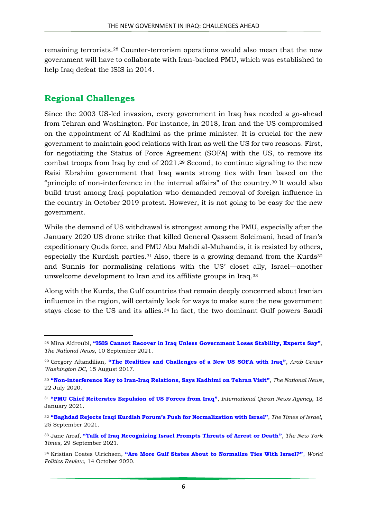remaining terrorists.<sup>28</sup> Counter-terrorism operations would also mean that the new government will have to collaborate with Iran-backed PMU, which was established to help Iraq defeat the ISIS in 2014.

#### **Regional Challenges**

**.** 

Since the 2003 US-led invasion, every government in Iraq has needed a go-ahead from Tehran and Washington. For instance, in 2018, Iran and the US compromised on the appointment of Al-Kadhimi as the prime minister. It is crucial for the new government to maintain good relations with Iran as well the US for two reasons. First, for negotiating the Status of Force Agreement (SOFA) with the US, to remove its combat troops from Iraq by end of 2021.<sup>29</sup> Second, to continue signaling to the new Raisi Ebrahim government that Iraq wants strong ties with Iran based on the "principle of non-interference in the internal affairs" of the country.<sup>30</sup> It would also build trust among Iraqi population who demanded removal of foreign influence in the country in October 2019 protest. However, it is not going to be easy for the new government.

While the demand of US withdrawal is strongest among the PMU, especially after the January 2020 US drone strike that killed General Qassem Soleimani, head of Iran's expeditionary Quds force, and PMU Abu Mahdi al-Muhandis, it is resisted by others, especially the Kurdish parties.<sup>31</sup> Also, there is a growing demand from the Kurds<sup>32</sup> and Sunnis for normalising relations with the US' closet ally, Israel—another unwelcome development to Iran and its affiliate groups in Iraq.<sup>33</sup>

Along with the Kurds, the Gulf countries that remain deeply concerned about Iranian influence in the region, will certainly look for ways to make sure the new government stays close to the US and its allies.<sup>34</sup> In fact, the two dominant Gulf powers Saudi

<sup>28</sup> Mina Aldroubi, **["ISIS Cannot Recover in Iraq Unless Government Loses Stability, Experts Say"](https://www.thenationalnews.com/mena/iraq/2021/09/10/isis-cannot-recover-in-iraq-unless-government-loses-stability-experts-say/)**, *The National News*, 10 September 2021.

<sup>29</sup> Gregory Aftandilian, **["The Realities and Challenges of a New US SOFA with Iraq"](https://arabcenterdc.org/resource/challenges-sofa-iraq/)**, *Arab Center Washington DC*, 15 August 2017.

<sup>30</sup> **"Non[-interference Key to Iran-Iraq Relations, Says Kadhimi on Tehran Visit](https://www.thenationalnews.com/world/mena/non-interference-key-to-iran-iraq-relations-says-kadhimi-on-tehran-visit-1.1052412)"**, *The National News*, 22 July 2020.

<sup>31</sup> **["PMU Chief Reiterates Expulsion of US Forces from Iraq"](https://iqna.ir/en/news/3473723/pmu-chief-reiterates-expulsion-of-us-forces-from-iraq)**, *International Quran News Agency*, 18 January 2021.

<sup>32</sup> **["Baghdad Rejects Iraqi Kurdish Forum's Push for Normalization with Israel"](https://www.timesofisrael.com/baghdad-rejects-iraqi-kurdish-forums-push-for-normalization-with-israel/)**, *The Times of Israel*, 25 September 2021.

<sup>33</sup> Jane Arraf, **["Talk of Iraq Recognizing Israel Prompts Threats of Arrest or Death"](https://www.nytimes.com/2021/09/29/world/middleeast/iraq-recognizing-israel.html)**, *The New York Times*, 29 September 2021.

<sup>34</sup> Kristian Coates Ulrichsen, **["Are More Gulf States About to Normalize Ties With Israel?"](https://www.worldpoliticsreview.com/articles/29131/are-more-gulf-states-about-to-normalize-ties-with-israel)**, *World Politics Review*, 14 October 2020.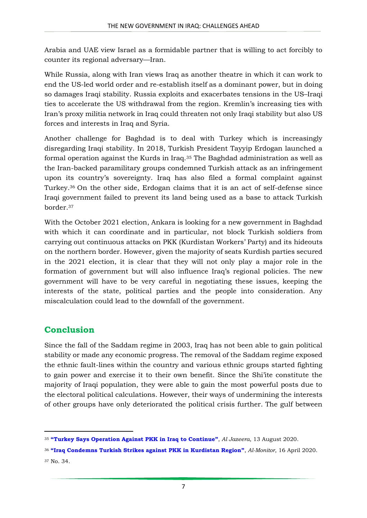Arabia and UAE view Israel as a formidable partner that is willing to act forcibly to counter its regional adversary—Iran.

While Russia, along with Iran views Iraq as another theatre in which it can work to end the US-led world order and re-establish itself as a dominant power, but in doing so damages Iraqi stability. Russia exploits and exacerbates tensions in the US–Iraqi ties to accelerate the US withdrawal from the region. Kremlin's increasing ties with Iran's proxy militia network in Iraq could threaten not only Iraqi stability but also US forces and interests in Iraq and Syria.

Another challenge for Baghdad is to deal with Turkey which is increasingly disregarding Iraqi stability. In 2018, Turkish President Tayyip Erdogan launched a formal operation against the Kurds in Iraq.<sup>35</sup> The Baghdad administration as well as the Iran-backed paramilitary groups condemned Turkish attack as an infringement upon its country's sovereignty. Iraq has also filed a formal complaint against Turkey.<sup>36</sup> On the other side, Erdogan claims that it is an act of self-defense since Iraqi government failed to prevent its land being used as a base to attack Turkish border.<sup>37</sup>

With the October 2021 election, Ankara is looking for a new government in Baghdad with which it can coordinate and in particular, not block Turkish soldiers from carrying out continuous attacks on PKK (Kurdistan Workers' Party) and its hideouts on the northern border. However, given the majority of seats Kurdish parties secured in the 2021 election, it is clear that they will not only play a major role in the formation of government but will also influence Iraq's regional policies. The new government will have to be very careful in negotiating these issues, keeping the interests of the state, political parties and the people into consideration. Any miscalculation could lead to the downfall of the government.

## **Conclusion**

**.** 

Since the fall of the Saddam regime in 2003, Iraq has not been able to gain political stability or made any economic progress. The removal of the Saddam regime exposed the ethnic fault-lines within the country and various ethnic groups started fighting to gain power and exercise it to their own benefit. Since the Shi'ite constitute the majority of Iraqi population, they were able to gain the most powerful posts due to the electoral political calculations. However, their ways of undermining the interests of other groups have only deteriorated the political crisis further. The gulf between

<sup>35</sup> **["Turkey Says Operation Against PKK in Iraq to Continue"](https://www.aljazeera.com/news/2020/8/13/turkey-says-operation-against-pkk-in-iraq-to-continue)**, *Al Jazeera*, 13 August 2020.

<sup>36</sup> **["Iraq Condemns Turkish Strikes against PKK in Kurdistan Region"](https://www.al-monitor.com/originals/2020/04/iraq-condemn-turkey-airstrikes-pkk-kurdistan-region.html)**, *Al-Monitor*, 16 April 2020. <sup>37</sup> No. 34.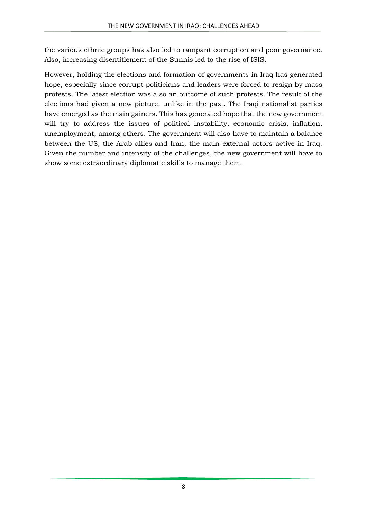the various ethnic groups has also led to rampant corruption and poor governance. Also, increasing disentitlement of the Sunnis led to the rise of ISIS.

However, holding the elections and formation of governments in Iraq has generated hope, especially since corrupt politicians and leaders were forced to resign by mass protests. The latest election was also an outcome of such protests. The result of the elections had given a new picture, unlike in the past. The Iraqi nationalist parties have emerged as the main gainers. This has generated hope that the new government will try to address the issues of political instability, economic crisis, inflation, unemployment, among others. The government will also have to maintain a balance between the US, the Arab allies and Iran, the main external actors active in Iraq. Given the number and intensity of the challenges, the new government will have to show some extraordinary diplomatic skills to manage them.